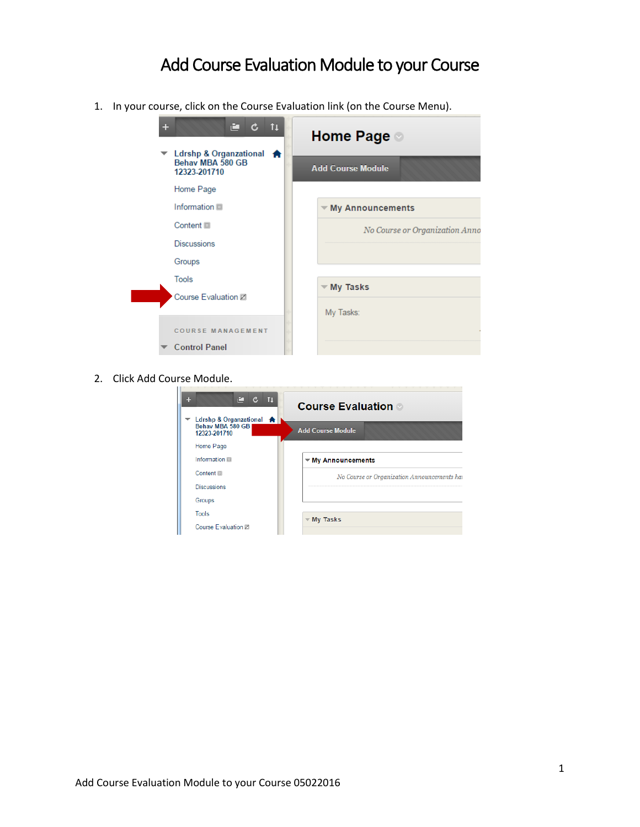## Add Course Evaluation Module to your Course

1. In your course, click on the Course Evaluation link (on the Course Menu).



2. Click Add Course Module.

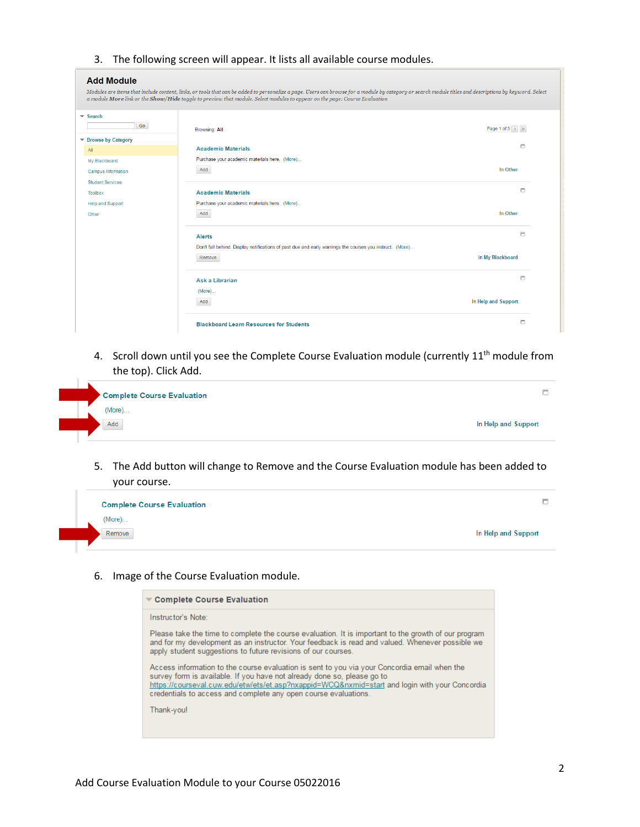3. The following screen will appear. It lists all available course modules.

## **Add Module**

|                                 | Modules are items that include content, links, or tools that can be added to personalize a page. Users can browse for a module by category or search module titles and descriptions by keyword. Select |                                 |
|---------------------------------|--------------------------------------------------------------------------------------------------------------------------------------------------------------------------------------------------------|---------------------------------|
|                                 | a module More link or the Show/Hide toggle to preview that module. Select modules to appear on the page: Course Evaluation                                                                             |                                 |
| $\overline{\phantom{a}}$ Search |                                                                                                                                                                                                        |                                 |
| Go                              |                                                                                                                                                                                                        | Page 1 of 3 $\rightarrow$ $\gg$ |
| ▼ Browse by Category            | <b>Browsing: All</b>                                                                                                                                                                                   |                                 |
| AII                             | <b>Academic Materials</b>                                                                                                                                                                              | $\Box$                          |
| My Blackboard                   | Purchase your academic materials here. (More)                                                                                                                                                          |                                 |
| <b>Campus Information</b>       | Add                                                                                                                                                                                                    | In Other                        |
| <b>Student Services</b>         |                                                                                                                                                                                                        |                                 |
| <b>Toolbox</b>                  | <b>Academic Materials</b>                                                                                                                                                                              | п                               |
| <b>Help and Support</b>         | Purchase your academic materials here. (More)                                                                                                                                                          |                                 |
| Other                           | Add                                                                                                                                                                                                    | In Other                        |
|                                 |                                                                                                                                                                                                        |                                 |
|                                 | <b>Alerts</b>                                                                                                                                                                                          | $\Box$                          |
|                                 | Don't fall behind. Display notifications of past due and early warnings the courses you instruct. (More)                                                                                               |                                 |
|                                 | Remove                                                                                                                                                                                                 | In My Blackboard                |
|                                 | Ask a Librarian                                                                                                                                                                                        | Е                               |
|                                 | (More)                                                                                                                                                                                                 |                                 |
|                                 | Add                                                                                                                                                                                                    | In Help and Support             |
|                                 |                                                                                                                                                                                                        |                                 |
|                                 | <b>Blackboard Learn Resources for Students</b>                                                                                                                                                         | Е                               |

4. Scroll down until you see the Complete Course Evaluation module (currently 11<sup>th</sup> module from the top). Click Add.



5. The Add button will change to Remove and the Course Evaluation module has been added to your course.



6. Image of the Course Evaluation module.

| $\blacktriangledown$ Complete Course Evaluation                                                                                                                                                                                                                                                                                              |  |
|----------------------------------------------------------------------------------------------------------------------------------------------------------------------------------------------------------------------------------------------------------------------------------------------------------------------------------------------|--|
| Instructor's Note:                                                                                                                                                                                                                                                                                                                           |  |
| Please take the time to complete the course evaluation. It is important to the growth of our program<br>and for my development as an instructor. Your feedback is read and valued. Whenever possible we<br>apply student suggestions to future revisions of our courses.                                                                     |  |
| Access information to the course evaluation is sent to you via your Concordia email when the<br>survey form is available. If you have not already done so, please go to<br>https://courseval.cuw.edu/etw/ets/et.asp?nxappid=WCQ&nxmid=start and login with your Concordia<br>credentials to access and complete any open course evaluations. |  |
| Thank-you!                                                                                                                                                                                                                                                                                                                                   |  |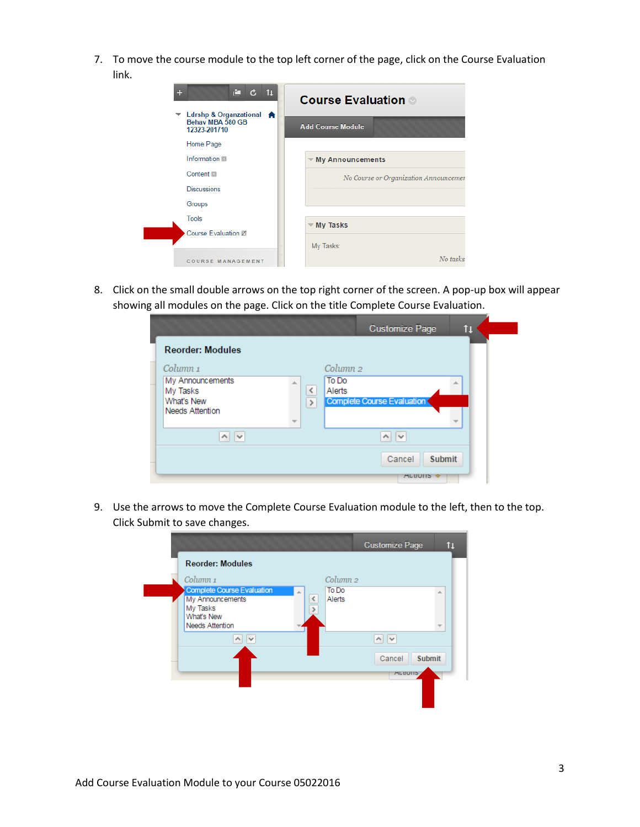7. To move the course module to the top left corner of the page, click on the Course Evaluation link.

| ÷<br>r I<br>11<br>$\mathbf{c}$                               | <b>Course Evaluation</b>              |
|--------------------------------------------------------------|---------------------------------------|
| Ldrshp & Organzational A<br>Behav MBA 580 GB<br>12323-201710 | <b>Add Course Module</b>              |
| Home Page                                                    |                                       |
| Information III                                              | $\blacktriangledown$ My Announcements |
| Content                                                      | No Course or Organization Announcemen |
| <b>Discussions</b>                                           |                                       |
| Groups                                                       |                                       |
| Tools                                                        | $\overline{\mathbf{v}}$ My Tasks      |
| Course Evaluation Z                                          |                                       |
|                                                              | My Tasks:                             |
| <b>COURSE MANAGEMENT</b>                                     | No tasks                              |

8. Click on the small double arrows on the top right corner of the screen. A pop-up box will appear showing all modules on the page. Click on the title Complete Course Evaluation.

|                                                                                             |                                                                   | <b>Customize Page</b>                    | tı |
|---------------------------------------------------------------------------------------------|-------------------------------------------------------------------|------------------------------------------|----|
| <b>Reorder: Modules</b>                                                                     |                                                                   |                                          |    |
| Column <sub>1</sub><br>My Announcements<br>My Tasks<br>What's New<br><b>Needs Attention</b> | Column <sub>2</sub><br>To Do<br>$\leq$<br>Alerts<br>$\rightarrow$ | Complete Course Evaluation               |    |
| $\sim$<br>$\sim$                                                                            |                                                                   | $\sim$                                   |    |
|                                                                                             |                                                                   | Cancel<br><b>Submit</b><br><b>ALTOUS</b> |    |

9. Use the arrows to move the Complete Course Evaluation module to the left, then to the top. Click Submit to save changes.

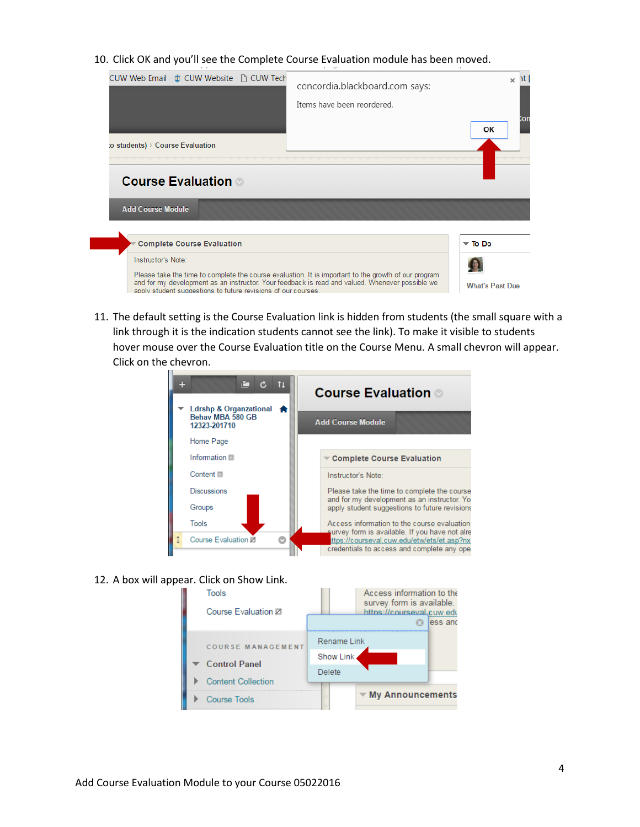10. Click OK and you'll see the Complete Course Evaluation module has been moved.



11. The default setting is the Course Evaluation link is hidden from students (the small square with a link through it is the indication students cannot see the link). To make it visible to students hover mouse over the Course Evaluation title on the Course Menu. A small chevron will appear. Click on the chevron.



12. A box will appear. Click on Show Link.